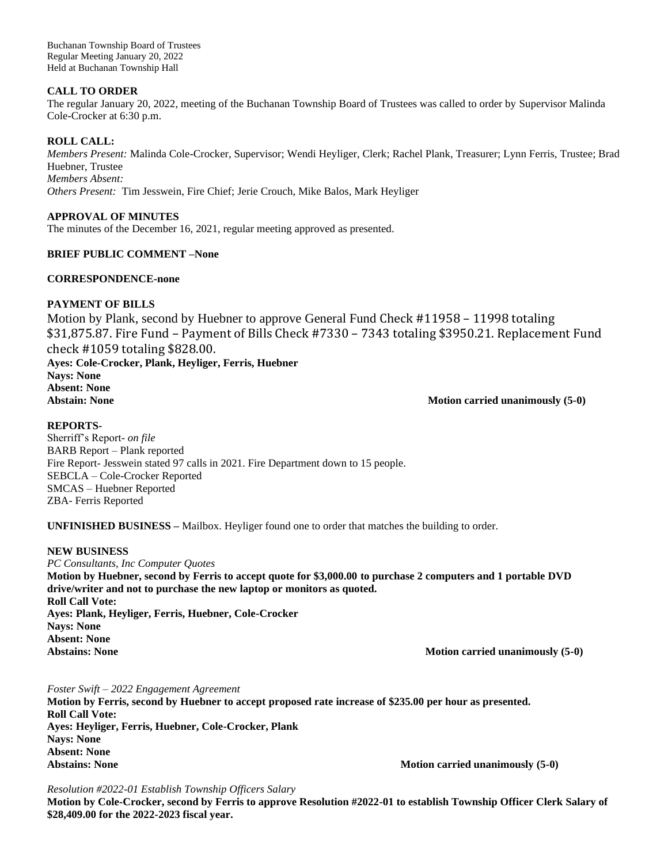Buchanan Township Board of Trustees Regular Meeting January 20, 2022 Held at Buchanan Township Hall

### **CALL TO ORDER**

The regular January 20, 2022, meeting of the Buchanan Township Board of Trustees was called to order by Supervisor Malinda Cole-Crocker at 6:30 p.m.

### **ROLL CALL:**

*Members Present:* Malinda Cole-Crocker, Supervisor; Wendi Heyliger, Clerk; Rachel Plank, Treasurer; Lynn Ferris, Trustee; Brad Huebner, Trustee *Members Absent:*

*Others Present:* Tim Jesswein, Fire Chief; Jerie Crouch, Mike Balos, Mark Heyliger

# **APPROVAL OF MINUTES**

The minutes of the December 16, 2021, regular meeting approved as presented.

### **BRIEF PUBLIC COMMENT –None**

### **CORRESPONDENCE-none**

# **PAYMENT OF BILLS**

Motion by Plank, second by Huebner to approve General Fund Check #11958 – 11998 totaling \$31,875.87. Fire Fund – Payment of Bills Check #7330 – 7343 totaling \$3950.21. Replacement Fund check #1059 totaling \$828.00. **Ayes: Cole-Crocker, Plank, Heyliger, Ferris, Huebner Nays: None Absent: None** Abstain: None **Motion carried unanimously (5-0)** 

# **REPORTS-**

Sherriff's Report*- on file* BARB Report – Plank reported Fire Report- Jesswein stated 97 calls in 2021. Fire Department down to 15 people. SEBCLA – Cole-Crocker Reported SMCAS – Huebner Reported ZBA- Ferris Reported

**UNFINISHED BUSINESS –** Mailbox. Heyliger found one to order that matches the building to order.

### **NEW BUSINESS**

*PC Consultants, Inc Computer Quotes*  **Motion by Huebner, second by Ferris to accept quote for \$3,000.00 to purchase 2 computers and 1 portable DVD drive/writer and not to purchase the new laptop or monitors as quoted. Roll Call Vote: Ayes: Plank, Heyliger, Ferris, Huebner, Cole-Crocker Nays: None Absent: None** Abstains: None **Motion carried unanimously (5-0)** Motion carried unanimously (5-0)

### *Foster Swift – 2022 Engagement Agreement*

**Motion by Ferris, second by Huebner to accept proposed rate increase of \$235.00 per hour as presented. Roll Call Vote: Ayes: Heyliger, Ferris, Huebner, Cole-Crocker, Plank Nays: None Absent: None Abstains: None Motion carried unanimously (5-0)**

### *Resolution #2022-01 Establish Township Officers Salary*

**Motion by Cole-Crocker, second by Ferris to approve Resolution #2022-01 to establish Township Officer Clerk Salary of \$28,409.00 for the 2022-2023 fiscal year.**